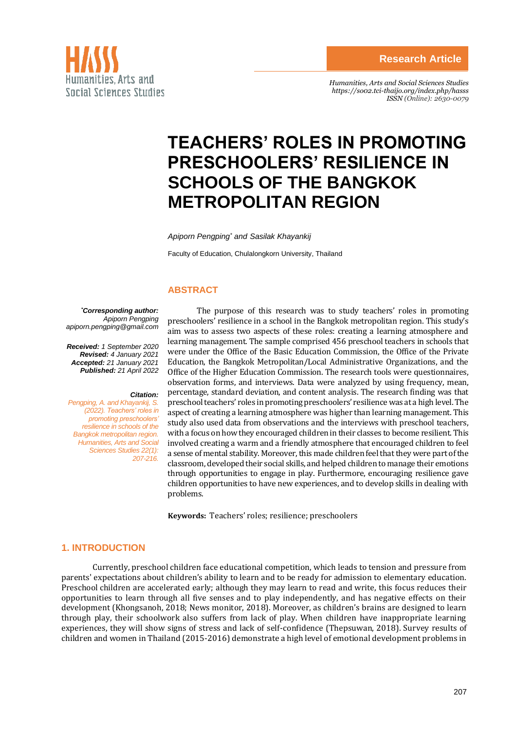

*Humanities, Arts and Social Sciences Studies <https://so02.tci-thaijo.org/index.php/hasss> ISSN (Online): 2630-0079*

# **TEACHERS' ROLES IN PROMOTING PRESCHOOLERS' RESILIENCE IN SCHOOLS OF THE BANGKOK METROPOLITAN REGION**

*Apiporn Pengping\* and Sasilak Khayankij*

Faculty of Education, Chulalongkorn University, Thailand

## **ABSTRACT**

*\*Corresponding author: Apiporn Pengping apiporn.pengping@gmail.com*

*Received: 1 September 2020 Revised: 4 January 2021 Accepted: 21 January 2021 Published: 21 April 2022*

#### *Citation:*

*Pengping, A. and Khayankij, S. (2022). Teachers' roles in promoting preschoolers' resilience in schools of the Bangkok metropolitan region. Humanities, Arts and Social Sciences Studies 22(1): 207-216.*

The purpose of this research was to study teachers' roles in promoting preschoolers' resilience in a school in the Bangkok metropolitan region. This study's aim was to assess two aspects of these roles: creating a learning atmosphere and learning management. The sample comprised 456 preschool teachers in schools that were under the Office of the Basic Education Commission, the Office of the Private Education, the Bangkok Metropolitan/Local Administrative Organizations, and the Office of the Higher Education Commission. The research tools were questionnaires, observation forms, and interviews. Data were analyzed by using frequency, mean, percentage, standard deviation, and content analysis. The research finding was that preschool teachers' roles in promoting preschoolers' resilience was at a high level. The aspect of creating a learning atmosphere was higher than learning management. This study also used data from observations and the interviews with preschool teachers, with a focus on how they encouraged children in their classes to become resilient. This involved creating a warm and a friendly atmosphere that encouraged children to feel a sense of mental stability. Moreover, this made children feel that they were part of the classroom, developed their social skills, and helped children to manage their emotions through opportunities to engage in play. Furthermore, encouraging resilience gave children opportunities to have new experiences, and to develop skills in dealing with problems.

**Keywords:** Teachers' roles; resilience; preschoolers

## **1. INTRODUCTION**

Currently, preschool children face educational competition, which leads to tension and pressure from parents' expectations about children's ability to learn and to be ready for admission to elementary education. Preschool children are accelerated early; although they may learn to read and write, this focus reduces their opportunities to learn through all five senses and to play independently, and has negative effects on their development (Khongsanoh, 2018; News monitor, 2018). Moreover, as children's brains are designed to learn through play, their schoolwork also suffers from lack of play. When children have inappropriate learning experiences, they will show signs of stress and lack of self-confidence (Thepsuwan, 2018). Survey results of children and women in Thailand (2015-2016) demonstrate a high level of emotional development problems in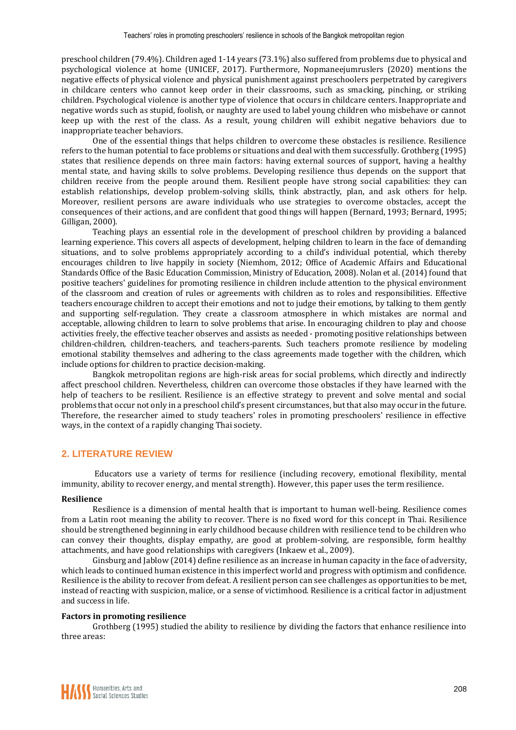preschool children (79.4%). Children aged 1-14 years (73.1%) also suffered from problems due to physical and psychological violence at home (UNICEF, 2017). Furthermore, Nopmaneejumruslers (2020) mentions the negative effects of physical violence and physical punishment against preschoolers perpetrated by caregivers in childcare centers who cannot keep order in their classrooms, such as smacking, pinching, or striking children. Psychological violence is another type of violence that occurs in childcare centers. Inappropriate and negative words such as stupid, foolish, or naughty are used to label young children who misbehave or cannot keep up with the rest of the class. As a result, young children will exhibit negative behaviors due to inappropriate teacher behaviors.

One of the essential things that helps children to overcome these obstacles is resilience. Resilience refers to the human potential to face problems or situations and deal with them successfully. Grothberg (1995) states that resilience depends on three main factors: having external sources of support, having a healthy mental state, and having skills to solve problems. Developing resilience thus depends on the support that children receive from the people around them. Resilient people have strong social capabilities: they can establish relationships, develop problem-solving skills, think abstractly, plan, and ask others for help. Moreover, resilient persons are aware individuals who use strategies to overcome obstacles, accept the consequences of their actions, and are confident that good things will happen (Bernard, 1993; Bernard, 1995; Gilligan, 2000).

Teaching plays an essential role in the development of preschool children by providing a balanced learning experience. This covers all aspects of development, helping children to learn in the face of demanding situations, and to solve problems appropriately according to a child's individual potential, which thereby encourages children to live happily in society (Niemhom, 2012; Office of Academic Affairs and Educational Standards Office of the Basic Education Commission, Ministry of Education, 2008). Nolan et al. (2014) found that positive teachers' guidelines for promoting resilience in children include attention to the physical environment of the classroom and creation of rules or agreements with children as to roles and responsibilities. Effective teachers encourage children to accept their emotions and not to judge their emotions, by talking to them gently and supporting self-regulation. They create a classroom atmosphere in which mistakes are normal and acceptable, allowing children to learn to solve problems that arise. In encouraging children to play and choose activities freely, the effective teacher observes and assists as needed - promoting positive relationships between children-children, children-teachers, and teachers-parents. Such teachers promote resilience by modeling emotional stability themselves and adhering to the class agreements made together with the children, which include options for children to practice decision-making.

Bangkok metropolitan regions are high-risk areas for social problems, which directly and indirectly affect preschool children. Nevertheless, children can overcome those obstacles if they have learned with the help of teachers to be resilient. Resilience is an effective strategy to prevent and solve mental and social problems that occur not only in a preschool child's present circumstances, but that also may occur in the future. Therefore, the researcher aimed to study teachers' roles in promoting preschoolers' resilience in effective ways, in the context of a rapidly changing Thai society.

## **2. LITERATURE REVIEW**

Educators use a variety of terms for resilience (including recovery, emotional flexibility, mental immunity, ability to recover energy, and mental strength). However, this paper uses the term resilience.

#### **Resilience**

Resilience is a dimension of mental health that is important to human well-being. Resilience comes from a Latin root meaning the ability to recover. There is no fixed word for this concept in Thai. Resilience should be strengthened beginning in early childhood because children with resilience tend to be children who can convey their thoughts, display empathy, are good at problem-solving, are responsible, form healthy attachments, and have good relationships with caregivers (Inkaew et al., 2009).

Ginsburg and Jablow (2014) define resilience as an increase in human capacity in the face of adversity, which leads to continued human existence in this imperfect world and progress with optimism and confidence. Resilience is the ability to recover from defeat. A resilient person can see challenges as opportunities to be met, instead of reacting with suspicion, malice, or a sense of victimhood. Resilience is a critical factor in adjustment and success in life.

#### **Factors in promoting resilience**

Grothberg (1995) studied the ability to resilience by dividing the factors that enhance resilience into three areas: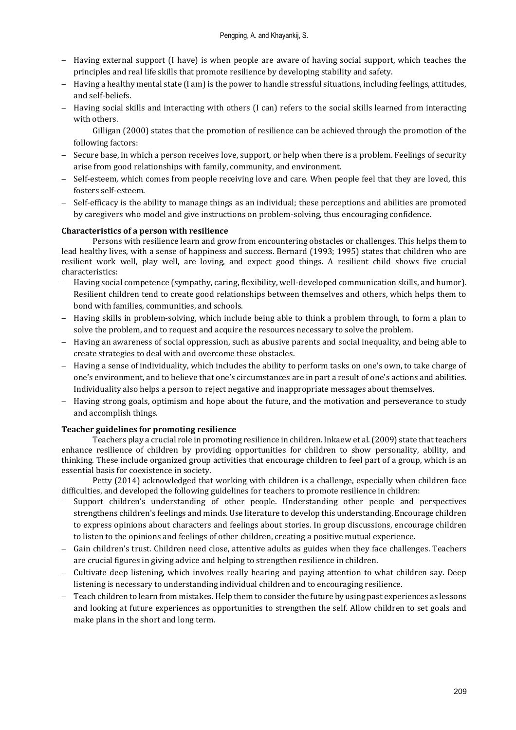- − Having external support (I have) is when people are aware of having social support, which teaches the principles and real life skills that promote resilience by developing stability and safety.
- − Having a healthy mental state (I am) is the power to handle stressful situations, including feelings, attitudes, and self-beliefs.
- − Having social skills and interacting with others (I can) refers to the social skills learned from interacting with others.

Gilligan (2000) states that the promotion of resilience can be achieved through the promotion of the following factors:

- − Secure base, in which a person receives love, support, or help when there is a problem. Feelings of security arise from good relationships with family, community, and environment.
- − Self-esteem, which comes from people receiving love and care. When people feel that they are loved, this fosters self-esteem.
- − Self-efficacy is the ability to manage things as an individual; these perceptions and abilities are promoted by caregivers who model and give instructions on problem-solving, thus encouraging confidence.

## **Characteristics of a person with resilience**

Persons with resilience learn and grow from encountering obstacles or challenges. This helps them to lead healthy lives, with a sense of happiness and success. Bernard (1993; 1995) states that children who are resilient work well, play well, are loving, and expect good things. A resilient child shows five crucial characteristics:

- − Having social competence (sympathy, caring, flexibility, well-developed communication skills, and humor). Resilient children tend to create good relationships between themselves and others, which helps them to bond with families, communities, and schools.
- − Having skills in problem-solving, which include being able to think a problem through, to form a plan to solve the problem, and to request and acquire the resources necessary to solve the problem.
- − Having an awareness of social oppression, such as abusive parents and social inequality, and being able to create strategies to deal with and overcome these obstacles.
- − Having a sense of individuality, which includes the ability to perform tasks on one's own, to take charge of one's environment, and to believe that one's circumstances are in part a result of one's actions and abilities. Individuality also helps a person to reject negative and inappropriate messages about themselves.
- − Having strong goals, optimism and hope about the future, and the motivation and perseverance to study and accomplish things.

## **Teacher guidelines for promoting resilience**

Teachers play a crucial role in promoting resilience in children. Inkaew et al. (2009) state that teachers enhance resilience of children by providing opportunities for children to show personality, ability, and thinking. These include organized group activities that encourage children to feel part of a group, which is an essential basis for coexistence in society.

Petty (2014) acknowledged that working with children is a challenge, especially when children face difficulties, and developed the following guidelines for teachers to promote resilience in children:

- − Support children's understanding of other people. Understanding other people and perspectives strengthens children's feelings and minds. Use literature to develop this understanding. Encourage children to express opinions about characters and feelings about stories. In group discussions, encourage children to listen to the opinions and feelings of other children, creating a positive mutual experience.
- − Gain children's trust. Children need close, attentive adults as guides when they face challenges. Teachers are crucial figures in giving advice and helping to strengthen resilience in children.
- − Cultivate deep listening, which involves really hearing and paying attention to what children say. Deep listening is necessary to understanding individual children and to encouraging resilience.
- − Teach children to learn from mistakes. Help them to consider the future by using past experiences as lessons and looking at future experiences as opportunities to strengthen the self. Allow children to set goals and make plans in the short and long term.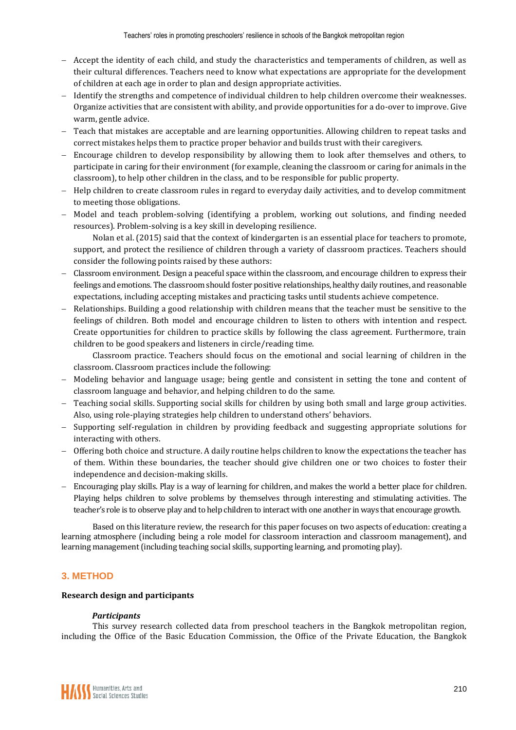- − Accept the identity of each child, and study the characteristics and temperaments of children, as well as their cultural differences. Teachers need to know what expectations are appropriate for the development of children at each age in order to plan and design appropriate activities.
- − Identify the strengths and competence of individual children to help children overcome their weaknesses. Organize activities that are consistent with ability, and provide opportunities for a do-over to improve. Give warm, gentle advice.
- − Teach that mistakes are acceptable and are learning opportunities. Allowing children to repeat tasks and correct mistakes helps them to practice proper behavior and builds trust with their caregivers.
- − Encourage children to develop responsibility by allowing them to look after themselves and others, to participate in caring for their environment (for example, cleaning the classroom or caring for animals in the classroom), to help other children in the class, and to be responsible for public property.
- − Help children to create classroom rules in regard to everyday daily activities, and to develop commitment to meeting those obligations.
- − Model and teach problem-solving (identifying a problem, working out solutions, and finding needed resources). Problem-solving is a key skill in developing resilience.

Nolan et al. (2015) said that the context of kindergarten is an essential place for teachers to promote, support, and protect the resilience of children through a variety of classroom practices. Teachers should consider the following points raised by these authors:

- − Classroom environment. Design a peaceful space within the classroom, and encourage children to express their feelings and emotions. The classroom should foster positive relationships, healthy daily routines, and reasonable expectations, including accepting mistakes and practicing tasks until students achieve competence.
- Relationships. Building a good relationship with children means that the teacher must be sensitive to the feelings of children. Both model and encourage children to listen to others with intention and respect. Create opportunities for children to practice skills by following the class agreement. Furthermore, train children to be good speakers and listeners in circle/reading time.

Classroom practice. Teachers should focus on the emotional and social learning of children in the classroom. Classroom practices include the following:

- − Modeling behavior and language usage; being gentle and consistent in setting the tone and content of classroom language and behavior, and helping children to do the same.
- − Teaching social skills. Supporting social skills for children by using both small and large group activities. Also, using role-playing strategies help children to understand others' behaviors.
- − Supporting self-regulation in children by providing feedback and suggesting appropriate solutions for interacting with others.
- − Offering both choice and structure. A daily routine helps children to know the expectations the teacher has of them. Within these boundaries, the teacher should give children one or two choices to foster their independence and decision-making skills.
- Encouraging play skills. Play is a way of learning for children, and makes the world a better place for children. Playing helps children to solve problems by themselves through interesting and stimulating activities. The teacher's role is to observe play and to help children to interact with one another in ways that encourage growth.

Based on this literature review, the research for this paper focuses on two aspects of education: creating a learning atmosphere (including being a role model for classroom interaction and classroom management), and learning management (including teaching social skills, supporting learning, and promoting play).

# **3. METHOD**

## **Research design and participants**

## *Participants*

This survey research collected data from preschool teachers in the Bangkok metropolitan region, including the Office of the Basic Education Commission, the Office of the Private Education, the Bangkok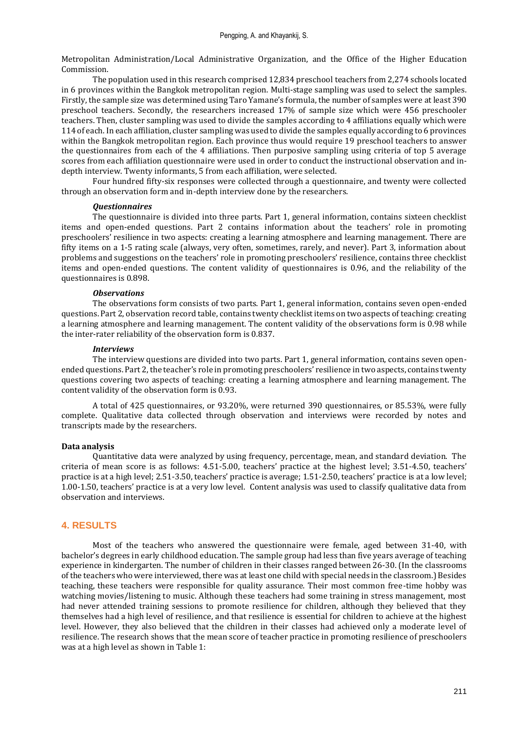Metropolitan Administration/Local Administrative Organization, and the Office of the Higher Education Commission.

The population used in this research comprised 12,834 preschool teachers from 2,274 schools located in 6 provinces within the Bangkok metropolitan region. Multi-stage sampling was used to select the samples. Firstly, the sample size was determined using Taro Yamane's formula, the number of samples were at least 390 preschool teachers. Secondly, the researchers increased 17% of sample size which were 456 preschooler teachers. Then, cluster sampling was used to divide the samples according to 4 affiliations equally which were 114 of each. In each affiliation, cluster sampling was used to divide the samples equally according to 6 provinces within the Bangkok metropolitan region. Each province thus would require 19 preschool teachers to answer the questionnaires from each of the 4 affiliations. Then purposive sampling using criteria of top 5 average scores from each affiliation questionnaire were used in order to conduct the instructional observation and indepth interview. Twenty informants, 5 from each affiliation, were selected.

Four hundred fifty-six responses were collected through a questionnaire, and twenty were collected through an observation form and in-depth interview done by the researchers.

#### *Questionnaires*

The questionnaire is divided into three parts. Part 1, general information, contains sixteen checklist items and open-ended questions. Part 2 contains information about the teachers' role in promoting preschoolers' resilience in two aspects: creating a learning atmosphere and learning management. There are fifty items on a 1-5 rating scale (always, very often, sometimes, rarely, and never). Part 3, information about problems and suggestions on the teachers' role in promoting preschoolers' resilience, contains three checklist items and open-ended questions. The content validity of questionnaires is 0.96, and the reliability of the questionnaires is 0.898.

#### *Observations*

The observations form consists of two parts. Part 1, general information, contains seven open-ended questions. Part 2, observation record table, contains twenty checklist items on two aspects of teaching: creating a learning atmosphere and learning management. The content validity of the observations form is 0.98 while the inter-rater reliability of the observation form is 0.837.

#### *Interviews*

The interview questions are divided into two parts. Part 1, general information, contains seven openended questions. Part 2, the teacher's role in promoting preschoolers' resilience in two aspects, contains twenty questions covering two aspects of teaching: creating a learning atmosphere and learning management. The content validity of the observation form is 0.93.

A total of 425 questionnaires, or 93.20%, were returned 390 questionnaires, or 85.53%, were fully complete. Qualitative data collected through observation and interviews were recorded by notes and transcripts made by the researchers.

#### **Data analysis**

Quantitative data were analyzed by using frequency, percentage, mean, and standard deviation. The criteria of mean score is as follows: 4.51-5.00, teachers' practice at the highest level; 3.51-4.50, teachers' practice is at a high level; 2.51-3.50, teachers' practice is average; 1.51-2.50, teachers' practice is at a low level; 1.00-1.50, teachers' practice is at a very low level. Content analysis was used to classify qualitative data from observation and interviews.

## **4. RESULTS**

Most of the teachers who answered the questionnaire were female, aged between 31-40, with bachelor's degrees in early childhood education. The sample group had less than five years average of teaching experience in kindergarten. The number of children in their classes ranged between 26-30. (In the classrooms of the teachers who were interviewed, there was at least one child with special needs in the classroom.) Besides teaching, these teachers were responsible for quality assurance. Their most common free-time hobby was watching movies/listening to music. Although these teachers had some training in stress management, most had never attended training sessions to promote resilience for children, although they believed that they themselves had a high level of resilience, and that resilience is essential for children to achieve at the highest level. However, they also believed that the children in their classes had achieved only a moderate level of resilience. The research shows that the mean score of teacher practice in promoting resilience of preschoolers was at a high level as shown in Table 1: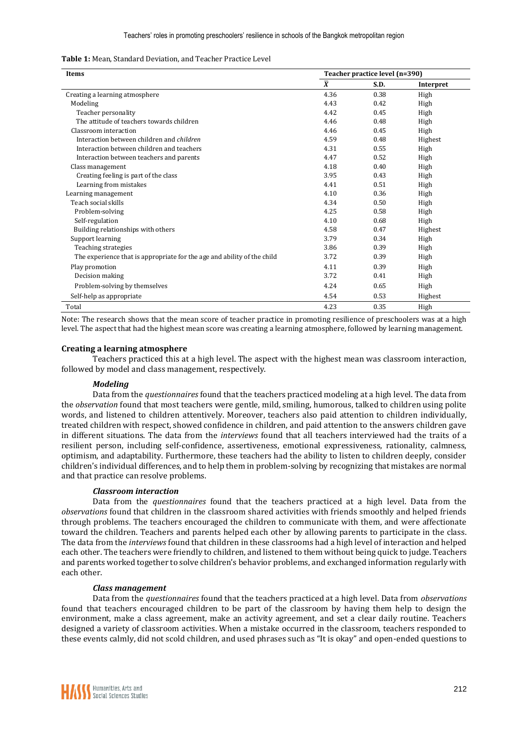|  |  |  |  | <b>Table 1:</b> Mean, Standard Deviation, and Teacher Practice Level |  |  |
|--|--|--|--|----------------------------------------------------------------------|--|--|
|--|--|--|--|----------------------------------------------------------------------|--|--|

| Items                                                                   | Teacher practice level (n=390) |      |           |  |
|-------------------------------------------------------------------------|--------------------------------|------|-----------|--|
|                                                                         | $\overline{X}$                 | S.D. | Interpret |  |
| Creating a learning atmosphere                                          | 4.36                           | 0.38 | High      |  |
| Modeling                                                                | 4.43                           | 0.42 | High      |  |
| Teacher personality                                                     | 4.42                           | 0.45 | High      |  |
| The attitude of teachers towards children                               | 4.46                           | 0.48 | High      |  |
| Classroom interaction                                                   | 4.46                           | 0.45 | High      |  |
| Interaction between children and <i>children</i>                        | 4.59                           | 0.48 | Highest   |  |
| Interaction between children and teachers                               | 4.31                           | 0.55 | High      |  |
| Interaction between teachers and parents                                | 4.47                           | 0.52 | High      |  |
| Class management                                                        | 4.18                           | 0.40 | High      |  |
| Creating feeling is part of the class                                   | 3.95                           | 0.43 | High      |  |
| Learning from mistakes                                                  | 4.41                           | 0.51 | High      |  |
| Learning management                                                     | 4.10                           | 0.36 | High      |  |
| Teach social skills                                                     | 4.34                           | 0.50 | High      |  |
| Problem-solving                                                         | 4.25                           | 0.58 | High      |  |
| Self-regulation                                                         | 4.10                           | 0.68 | High      |  |
| Building relationships with others                                      | 4.58                           | 0.47 | Highest   |  |
| Support learning                                                        | 3.79                           | 0.34 | High      |  |
| Teaching strategies                                                     | 3.86                           | 0.39 | High      |  |
| The experience that is appropriate for the age and ability of the child | 3.72                           | 0.39 | High      |  |
| Play promotion                                                          | 4.11                           | 0.39 | High      |  |
| Decision making                                                         | 3.72                           | 0.41 | High      |  |
| Problem-solving by themselves                                           | 4.24                           | 0.65 | High      |  |
| Self-help as appropriate                                                | 4.54                           | 0.53 | Highest   |  |
| Total                                                                   | 4.23                           | 0.35 | High      |  |

Note: The research shows that the mean score of teacher practice in promoting resilience of preschoolers was at a high level. The aspect that had the highest mean score was creating a learning atmosphere, followed by learning management.

#### **Creating a learning atmosphere**

Teachers practiced this at a high level. The aspect with the highest mean was classroom interaction, followed by model and class management, respectively.

#### *Modeling*

Data from the *questionnaires* found that the teachers practiced modeling at a high level. The data from the *observation* found that most teachers were gentle, mild, smiling, humorous, talked to children using polite words, and listened to children attentively. Moreover, teachers also paid attention to children individually, treated children with respect, showed confidence in children, and paid attention to the answers children gave in different situations. The data from the *interviews* found that all teachers interviewed had the traits of a resilient person, including self-confidence, assertiveness, emotional expressiveness, rationality, calmness, optimism, and adaptability. Furthermore, these teachers had the ability to listen to children deeply, consider children's individual differences, and to help them in problem-solving by recognizing that mistakes are normal and that practice can resolve problems.

#### *Classroom interaction*

Data from the *questionnaires* found that the teachers practiced at a high level. Data from the *observations* found that children in the classroom shared activities with friends smoothly and helped friends through problems. The teachers encouraged the children to communicate with them, and were affectionate toward the children. Teachers and parents helped each other by allowing parents to participate in the class. The data from the *interviews* found that children in these classrooms had a high level of interaction and helped each other. The teachers were friendly to children, and listened to them without being quick to judge. Teachers and parents worked together to solve children's behavior problems, and exchanged information regularly with each other.

#### *Class management*

Data from the *questionnaires* found that the teachers practiced at a high level. Data from *observations* found that teachers encouraged children to be part of the classroom by having them help to design the environment, make a class agreement, make an activity agreement, and set a clear daily routine. Teachers designed a variety of classroom activities. When a mistake occurred in the classroom, teachers responded to these events calmly, did not scold children, and used phrases such as "It is okay" and open-ended questions to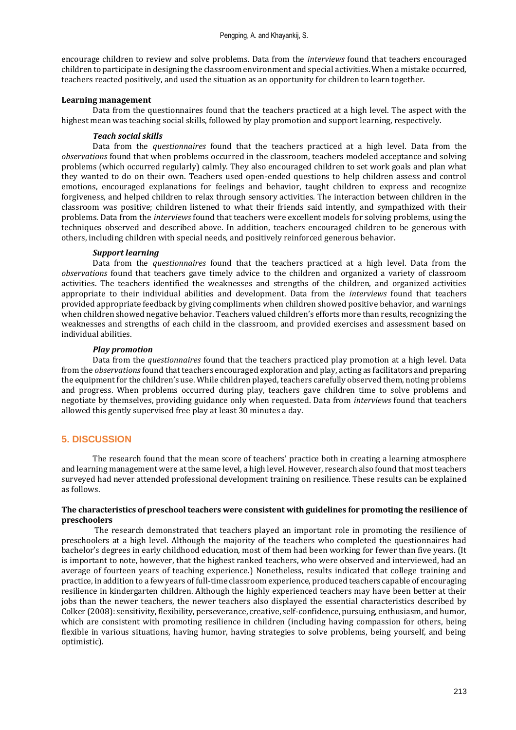encourage children to review and solve problems. Data from the *interviews* found that teachers encouraged children to participate in designing the classroom environment and special activities. When a mistake occurred, teachers reacted positively, and used the situation as an opportunity for children to learn together.

## **Learning management**

Data from the questionnaires found that the teachers practiced at a high level. The aspect with the highest mean was teaching social skills, followed by play promotion and support learning, respectively.

## *Teach social skills*

Data from the *questionnaires* found that the teachers practiced at a high level. Data from the *observations* found that when problems occurred in the classroom, teachers modeled acceptance and solving problems (which occurred regularly) calmly. They also encouraged children to set work goals and plan what they wanted to do on their own. Teachers used open-ended questions to help children assess and control emotions, encouraged explanations for feelings and behavior, taught children to express and recognize forgiveness, and helped children to relax through sensory activities. The interaction between children in the classroom was positive; children listened to what their friends said intently, and sympathized with their problems. Data from the *interviews* found that teachers were excellent models for solving problems, using the techniques observed and described above. In addition, teachers encouraged children to be generous with others, including children with special needs, and positively reinforced generous behavior.

## *Support learning*

Data from the *questionnaires* found that the teachers practiced at a high level. Data from the *observations* found that teachers gave timely advice to the children and organized a variety of classroom activities. The teachers identified the weaknesses and strengths of the children, and organized activities appropriate to their individual abilities and development. Data from the *interviews* found that teachers provided appropriate feedback by giving compliments when children showed positive behavior, and warnings when children showed negative behavior. Teachers valued children's efforts more than results, recognizing the weaknesses and strengths of each child in the classroom, and provided exercises and assessment based on individual abilities.

## *Play promotion*

Data from the *questionnaires* found that the teachers practiced play promotion at a high level. Data from the *observations*found that teachers encouraged exploration and play, acting as facilitators and preparing the equipment for the children's use. While children played, teachers carefully observed them, noting problems and progress. When problems occurred during play, teachers gave children time to solve problems and negotiate by themselves, providing guidance only when requested. Data from *interviews* found that teachers allowed this gently supervised free play at least 30 minutes a day.

## **5. DISCUSSION**

The research found that the mean score of teachers' practice both in creating a learning atmosphere and learning management were at the same level, a high level. However, research also found that most teachers surveyed had never attended professional development training on resilience. These results can be explained as follows.

## **The characteristics of preschool teachers were consistent with guidelines for promoting the resilience of preschoolers**

The research demonstrated that teachers played an important role in promoting the resilience of preschoolers at a high level. Although the majority of the teachers who completed the questionnaires had bachelor's degrees in early childhood education, most of them had been working for fewer than five years. (It is important to note, however, that the highest ranked teachers, who were observed and interviewed, had an average of fourteen years of teaching experience.) Nonetheless, results indicated that college training and practice, in addition to a few years of full-time classroom experience, produced teachers capable of encouraging resilience in kindergarten children. Although the highly experienced teachers may have been better at their jobs than the newer teachers, the newer teachers also displayed the essential characteristics described by Colker (2008): sensitivity, flexibility, perseverance, creative, self-confidence, pursuing, enthusiasm, and humor, which are consistent with promoting resilience in children (including having compassion for others, being flexible in various situations, having humor, having strategies to solve problems, being yourself, and being optimistic).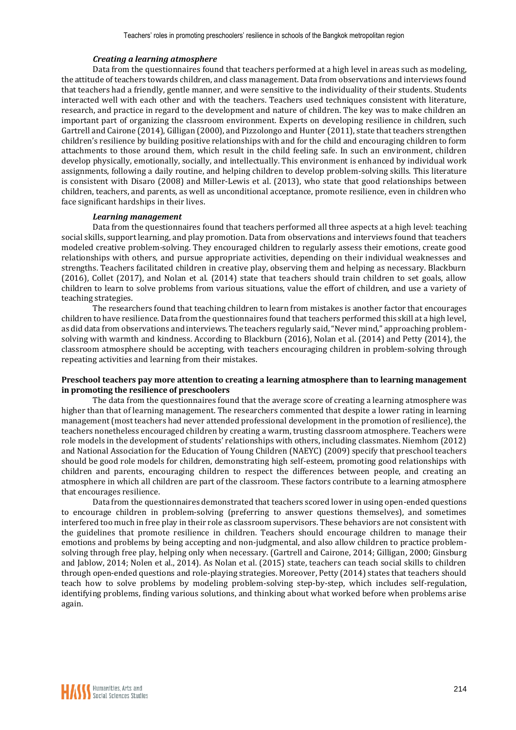#### *Creating a learning atmosphere*

Data from the questionnaires found that teachers performed at a high level in areas such as modeling, the attitude of teachers towards children, and class management. Data from observations and interviews found that teachers had a friendly, gentle manner, and were sensitive to the individuality of their students. Students interacted well with each other and with the teachers. Teachers used techniques consistent with literature, research, and practice in regard to the development and nature of children. The key was to make children an important part of organizing the classroom environment. Experts on developing resilience in children, such Gartrell and Cairone (2014), Gilligan (2000), and Pizzolongo and Hunter (2011), state that teachers strengthen children's resilience by building positive relationships with and for the child and encouraging children to form attachments to those around them, which result in the child feeling safe. In such an environment, children develop physically, emotionally, socially, and intellectually. This environment is enhanced by individual work assignments, following a daily routine, and helping children to develop problem-solving skills. This literature is consistent with Disaro (2008) and Miller-Lewis et al. (2013), who state that good relationships between children, teachers, and parents, as well as unconditional acceptance, promote resilience, even in children who face significant hardships in their lives.

#### *Learning management*

Data from the questionnaires found that teachers performed all three aspects at a high level: teaching social skills, support learning, and play promotion. Data from observations and interviews found that teachers modeled creative problem-solving. They encouraged children to regularly assess their emotions, create good relationships with others, and pursue appropriate activities, depending on their individual weaknesses and strengths. Teachers facilitated children in creative play, observing them and helping as necessary. Blackburn (2016), Collet (2017), and Nolan et al. (2014) state that teachers should train children to set goals, allow children to learn to solve problems from various situations, value the effort of children, and use a variety of teaching strategies.

The researchers found that teaching children to learn from mistakes is another factor that encourages children to have resilience. Data from the questionnaires found that teachers performed this skill at a high level, as did data from observations and interviews. The teachers regularly said, "Never mind," approaching problemsolving with warmth and kindness. According to Blackburn (2016), Nolan et al. (2014) and Petty (2014), the classroom atmosphere should be accepting, with teachers encouraging children in problem-solving through repeating activities and learning from their mistakes.

#### **Preschool teachers pay more attention to creating a learning atmosphere than to learning management in promoting the resilience of preschoolers**

The data from the questionnaires found that the average score of creating a learning atmosphere was higher than that of learning management. The researchers commented that despite a lower rating in learning management (most teachers had never attended professional development in the promotion of resilience), the teachers nonetheless encouraged children by creating a warm, trusting classroom atmosphere. Teachers were role models in the development of students' relationships with others, including classmates. Niemhom (2012) and National Association for the Education of Young Children (NAEYC) (2009) specify that preschool teachers should be good role models for children, demonstrating high self-esteem, promoting good relationships with children and parents, encouraging children to respect the differences between people, and creating an atmosphere in which all children are part of the classroom. These factors contribute to a learning atmosphere that encourages resilience.

Data from the questionnaires demonstrated that teachers scored lower in using open-ended questions to encourage children in problem-solving (preferring to answer questions themselves), and sometimes interfered too much in free play in their role as classroom supervisors. These behaviors are not consistent with the guidelines that promote resilience in children. Teachers should encourage children to manage their emotions and problems by being accepting and non-judgmental, and also allow children to practice problemsolving through free play, helping only when necessary. (Gartrell and Cairone, 2014; Gilligan, 2000; Ginsburg and Jablow, 2014; Nolen et al., 2014). As Nolan et al. (2015) state, teachers can teach social skills to children through open-ended questions and role-playing strategies. Moreover, Petty (2014) states that teachers should teach how to solve problems by modeling problem-solving step-by-step, which includes self-regulation, identifying problems, finding various solutions, and thinking about what worked before when problems arise again.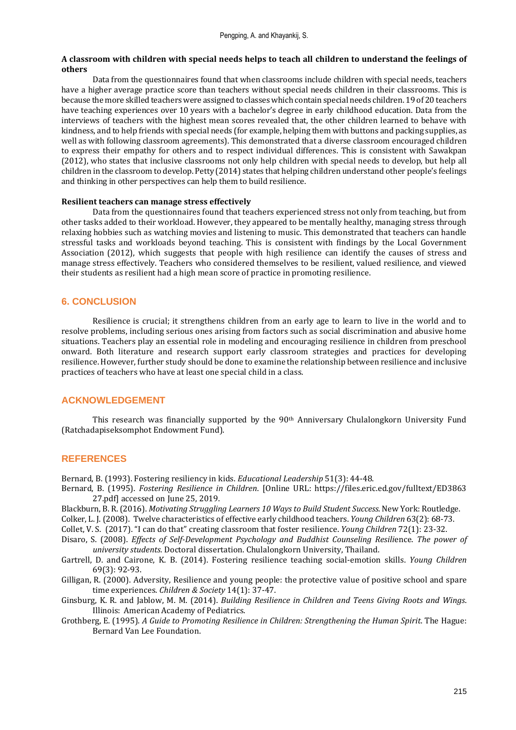#### **A classroom with children with special needs helps to teach all children to understand the feelings of others**

Data from the questionnaires found that when classrooms include children with special needs, teachers have a higher average practice score than teachers without special needs children in their classrooms. This is because the more skilled teachers were assigned to classes which contain special needs children. 19 of 20 teachers have teaching experiences over 10 years with a bachelor's degree in early childhood education. Data from the interviews of teachers with the highest mean scores revealed that, the other children learned to behave with kindness, and to help friends with special needs (for example, helping them with buttons and packing supplies, as well as with following classroom agreements). This demonstrated that a diverse classroom encouraged children to express their empathy for others and to respect individual differences. This is consistent with Sawakpan (2012), who states that inclusive classrooms not only help children with special needs to develop, but help all children in the classroom to develop. Petty (2014) states that helping children understand other people's feelings and thinking in other perspectives can help them to build resilience.

#### **Resilient teachers can manage stress effectively**

Data from the questionnaires found that teachers experienced stress not only from teaching, but from other tasks added to their workload. However, they appeared to be mentally healthy, managing stress through relaxing hobbies such as watching movies and listening to music. This demonstrated that teachers can handle stressful tasks and workloads beyond teaching. This is consistent with findings by the Local Government Association (2012), which suggests that people with high resilience can identify the causes of stress and manage stress effectively. Teachers who considered themselves to be resilient, valued resilience, and viewed their students as resilient had a high mean score of practice in promoting resilience.

## **6. CONCLUSION**

Resilience is crucial; it strengthens children from an early age to learn to live in the world and to resolve problems, including serious ones arising from factors such as social discrimination and abusive home situations. Teachers play an essential role in modeling and encouraging resilience in children from preschool onward. Both literature and research support early classroom strategies and practices for developing resilience. However, further study should be done to examine the relationship between resilience and inclusive practices of teachers who have at least one special child in a class.

## **ACKNOWLEDGEMENT**

This research was financially supported by the  $90<sup>th</sup>$  Anniversary Chulalongkorn University Fund (Ratchadapiseksomphot Endowment Fund).

## **REFERENCES**

Bernard, B. (1993). Fostering resiliency in kids. *Educational Leadership* 51(3): 44-48.

- Bernard, B. (1995). *Fostering Resilience in Children*. [Online URL: https://files.eric.ed.gov/fulltext/ED3863 27.pdf] accessed on June 25, 2019.
- Blackburn, B. R. (2016). *Motivating Struggling Learners 10 Ways to Build Student Success*. New York: Routledge.

Colker, L. J. (2008). Twelve characteristics of effective early childhood teachers. *Young Children* 63(2): 68-73.

Collet, V. S. (2017). "I can do that" creating classroom that foster resilience. *Young Children* 72(1): 23-32.

- Disaro, S. (2008). *Effects of Self-Development Psychology and Buddhist Counseling Resili*ence. *The power of university students.* Doctoral dissertation. Chulalongkorn University, Thailand.
- Gartrell, D. and Cairone, K. B. (2014). Fostering resilience teaching social-emotion skills. *Young Children* 69(3): 92-93.
- Gilligan, R. (2000). Adversity, Resilience and young people: the protective value of positive school and spare time experiences. *Children & Society* 14(1): 37-47.
- Ginsburg, K. R. and Jablow, M. M. (2014). *Building Resilience in Children and Teens Giving Roots and Wings*. Illinois: American Academy of Pediatrics.
- Grothberg, E. (1995). *A Guide to Promoting Resilience in Children: Strengthening the Human Spirit*. The Hague: Bernard Van Lee Foundation.